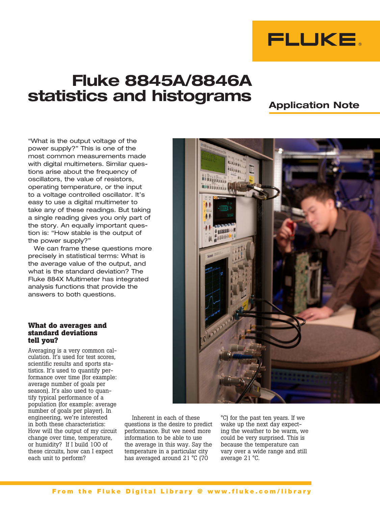

# **Fluke 8845A/8846A statistics and histograms**

## **Application Note**

"What is the output voltage of the power supply?" This is one of the most common measurements made with digital multimeters. Similar questions arise about the frequency of oscillators, the value of resistors, operating temperature, or the input to a voltage controlled oscillator. It's easy to use a digital multimeter to take any of these readings. But taking a single reading gives you only part of the story. An equally important question is: "How stable is the output of the power supply?"

We can frame these questions more precisely in statistical terms: What is the average value of the output, and what is the standard deviation? The Fluke 884X Multimeter has integrated analysis functions that provide the answers to both questions.

#### **What do averages and standard deviations tell you?**

Averaging is a very common calculation. It's used for test scores, scientific results and sports statistics. It's used to quantify performance over time (for example: average number of goals per season). It's also used to quantify typical performance of a population (for example: average number of goals per player). In engineering, we're interested in both these characteristics: How will the output of my circuit change over time, temperature, or humidity? If I build 100 of these circuits, how can I expect each unit to perform?

Inherent in each of these questions is the desire to predict performance. But we need more information to be able to use the average in this way. Say the temperature in a particular city has averaged around 21 °C (70

°C) for the past ten years. If we wake up the next day expecting the weather to be warm, we could be very surprised. This is because the temperature can vary over a wide range and still average 21 °C.

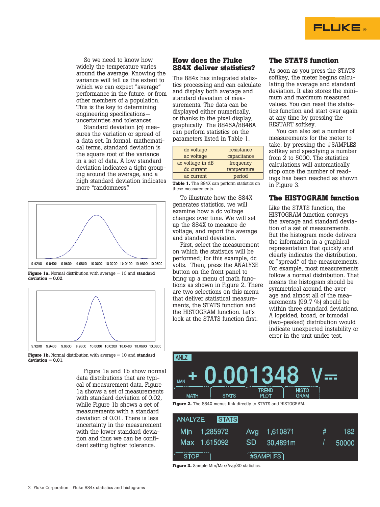

So we need to know how widely the temperature varies around the average. Knowing the variance will tell us the extent to which we can expect "average" performance in the future, or from other members of a population. This is the key to determining engineering specifications uncertainties and tolerances.

Standard deviation  $\sigma$  measures the variation or spread of a data set. In formal, mathematical terms, standard deviation is the square root of the variance in a set of data. A low standard deviation indicates a tight grouping around the average, and a high standard deviation indicates more "randomness."







**Figure 1b.** Normal distribution with average = 10 and standard  $deviation = 0.01$ 

Figure 1a and 1b show normal data distributions that are typical of measurement data. Figure 1a shows a set of measurements with standard deviation of 0.02, while Figure 1b shows a set of measurements with a standard deviation of 0.01. There is less uncertainty in the measurement with the lower standard deviation and thus we can be confident setting tighter tolerance.

#### **How does the Fluke 884X deliver statistics?**

The 884x has integrated statistics processing and can calculate and display both average and standard deviation of measurements. The data can be displayed either numerically, or thanks to the pixel display, graphically. The 8845A/8846A can perform statistics on the parameters listed in Table 1.

| dc voltage       | resistance  |  |
|------------------|-------------|--|
| ac voltage       | capacitance |  |
| ac voltage in dB | frequency   |  |
| dc current       | temperature |  |
| ac current       | period      |  |
|                  |             |  |

**Table 1.** The 884X can perform statistics on these measurements.

To illustrate how the 884X generates statistics, we will examine how a dc voltage changes over time. We will set up the 884X to measure dc voltage, and report the average and standard deviation.

First, select the measurement on which the statistics will be performed; for this example, dc volts. Then, press the ANALYZE button on the front panel to bring up a menu of math functions as shown in Figure 2. There are two selections on this menu that deliver statistical measurements, the STATS function and the HISTOGRAM function. Let's look at the STATS function first.

### **The STATS function**

As soon as you press the STATS softkey, the meter begins calculating the average and standard deviation. It also stores the minimum and maximum measured values. You can reset the statistics function and start over again at any time by pressing the RESTART softkey.

You can also set a number of measurements for the meter to take, by pressing the #SAMPLES softkey and specifying a number from 2 to 5000. The statistics calculations will automatically stop once the number of readings has been reached as shown in Figure 3.

#### **The HISTOGRAM function**

Like the STATS function, the HISTOGRAM function conveys the average and standard deviation of a set of measurements. But the histogram mode delivers the information in a graphical representation that quickly and clearly indicates the distribution, or "spread," of the measurements. For example, most measurements follow a normal distribution. That means the histogram should be symmetrical around the average and almost all of the measurements (99.7 %) should be within three standard deviations. A lopsided, broad, or bimodal (two-peaked) distribution would indicate unexpected instability or error in the unit under test.



|             | <b>ANALYZE STATS</b> |           |                  |   |       |
|-------------|----------------------|-----------|------------------|---|-------|
|             | Min 1.285972         |           | Avg 1.610871     | # | 182.  |
|             | Max 1.615092         | <b>SD</b> | 30.4891m         |   | 50000 |
| <b>STOP</b> |                      |           | $($ #SAMPLES $)$ |   |       |

**Figure 3.** Sample Min/Max/Avg/SD statistics.